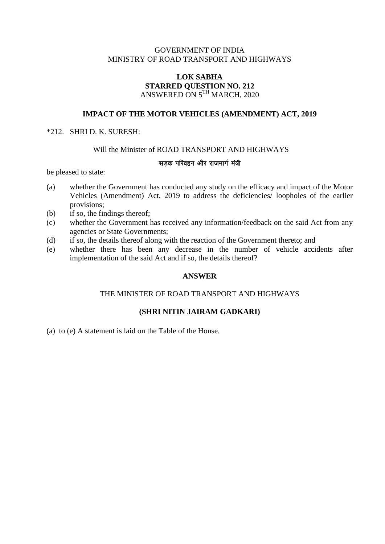## GOVERNMENT OF INDIA MINISTRY OF ROAD TRANSPORT AND HIGHWAYS

## **LOK SABHA STARRED QUESTION NO. 212** ANSWERED ON 5 TH MARCH, 2020

# **IMPACT OF THE MOTOR VEHICLES (AMENDMENT) ACT, 2019**

### \*212. SHRI D. K. SURESH:

## Will the Minister of ROAD TRANSPORT AND HIGHWAYS

#### सडक परिवहन और राजमार्ग मंत्री

be pleased to state:

- (a) whether the Government has conducted any study on the efficacy and impact of the Motor Vehicles (Amendment) Act, 2019 to address the deficiencies/ loopholes of the earlier provisions;
- (b) if so, the findings thereof;
- (c) whether the Government has received any information/feedback on the said Act from any agencies or State Governments;
- (d) if so, the details thereof along with the reaction of the Government thereto; and
- (e) whether there has been any decrease in the number of vehicle accidents after implementation of the said Act and if so, the details thereof?

## **ANSWER**

## THE MINISTER OF ROAD TRANSPORT AND HIGHWAYS

## **(SHRI NITIN JAIRAM GADKARI)**

(a) to (e) A statement is laid on the Table of the House.